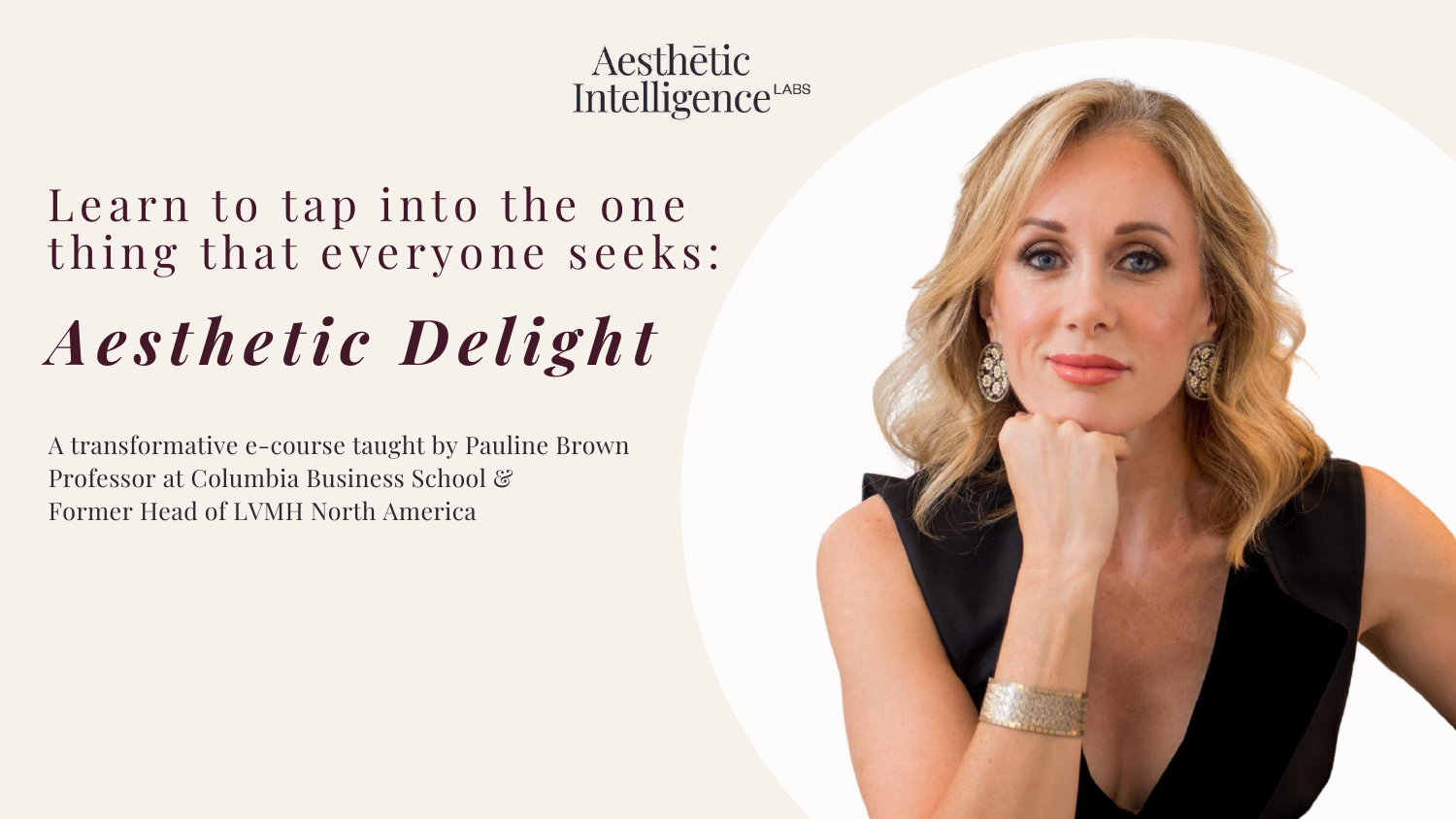Aesthētic Intelligence<sup>LABS</sup>

# Learn to tap into the one thing that everyone seeks: *Ae s the ti c De li ght*

A transformative e-course taught by Pauline Brown Professor at Columbia Business School & Former Head of LVMH North America

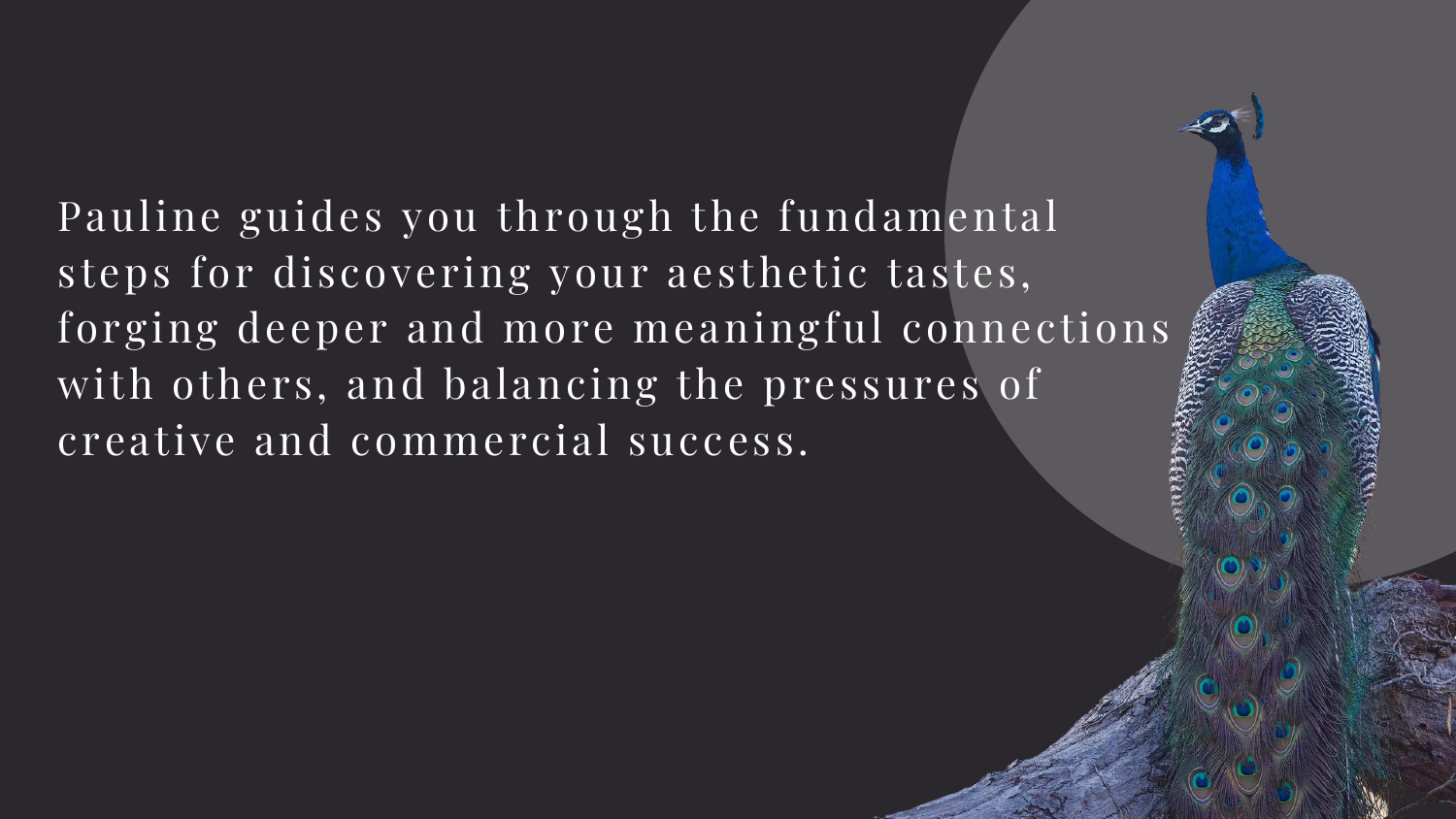Pauline guides you through the fundamental steps for discovering your aesthetic tastes, forging deeper and more meaningful connections with others, and balancing the pressures of creative and commercial success.

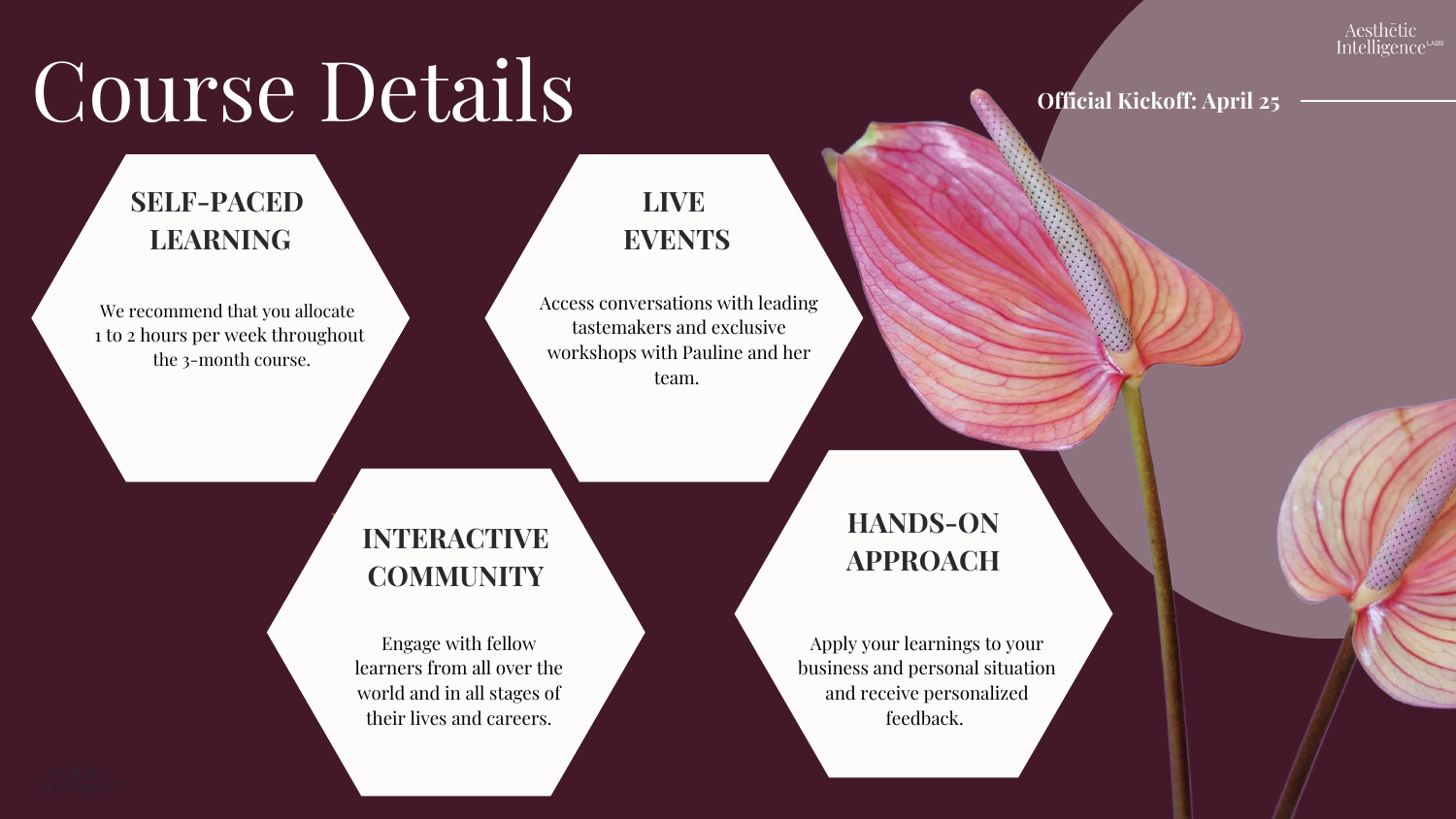### **INTERACTIVE COMMUNITY INTERACTIVE COMMUNITY**

Engage with fellow  $\overline{\mathbf{u}}$  and  $\overline{\mathbf{u}}$  and  $\overline{\mathbf{u}}$  and  $\overline{\mathbf{u}}$  and  $\overline{\mathbf{u}}$  and  $\overline{\mathbf{u}}$ the career and careers and careers. learners from all over the world and in all stages of their lives and careers.

# $\overline{C}$ **OUISE** Details **Official Kickoff:** April 25

## **SELF-PACED LEARNING**

tastemakers and exclusive<br>religions with Pauline and h team. Access conversations with leading workshops with Pauline and her

We recommend that you allocate 1 to 2 hours per week throughout the 3-month course.

> Apply your learnings to your situation and receive  $\mathbf{I}$ personalized feedback. business and personal situation and receive personalized feedback.

### Aesthētic **Intelligence**

## **HANDS ON APPROACH HANDS-ONAPPROACH**

## **LIVE EVENTS**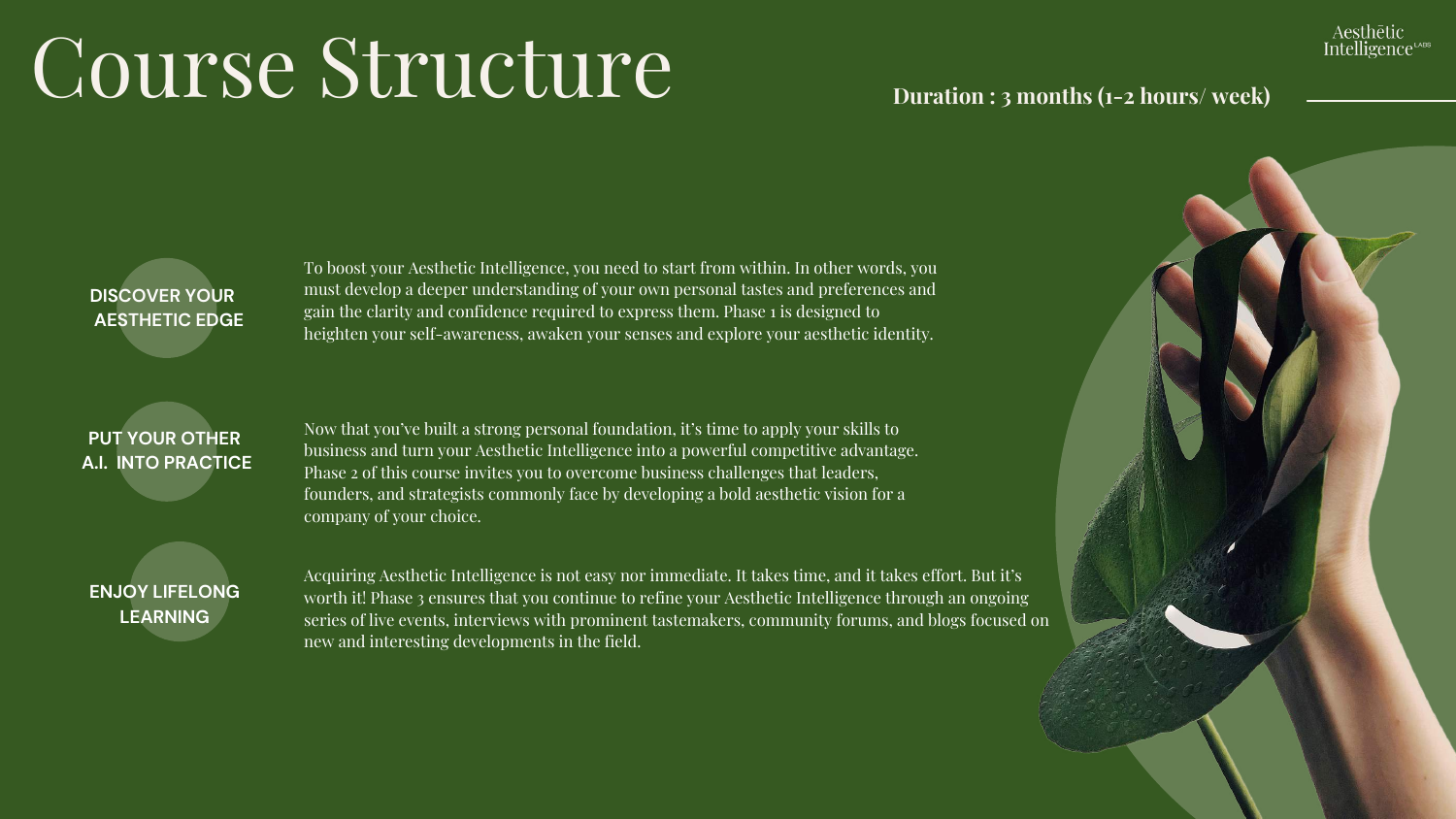# $\overline{C\text{oures}}$   $\overline{C}$   $\overline{C}$   $\overline{C}$   $\overline{C}$   $\overline{C}$   $\overline{C}$   $\overline{C}$   $\overline{C}$   $\overline{C}$   $\overline{C}$   $\overline{C}$   $\overline{C}$   $\overline{C}$   $\overline{C}$   $\overline{C}$   $\overline{C}$   $\overline{C}$   $\overline{C}$   $\overline{C}$   $\overline{C}$   $\overline{C}$   $\overline{C}$   $\overline{C}$

### **DISCOVER YOUR AESTHETIC EDGE**

### **PUT YOUR OTHER A.I. INTO PRACTICE**

**ENJOY LIFELONG LEARNING**

Acquiring Aesthetic Intelligence is not easy nor immediate. It takes time, and it takes effort. But it's worth it! Phase 3 ensures that you continue to refine your Aesthetic Intelligence through an ongoing series of live events, interviews with prominent tastemakers, community forums, and blogs focused on new and interesting developments in the field.

Now that you've built a strong personal foundation, it's time to apply your skills to business and turn your Aesthetic Intelligence into a powerful competitive advantage. Phase 2 of this course invites you to overcome business challenges that leaders, founders, and strategists commonly face by developing a bold aesthetic vision for a company of your choice.

To boost your Aesthetic Intelligence, you need to start from within. In other words, you must develop a deeper understanding of your own personal tastes and preferences and gain the clarity and confidence required to express them. Phase 1 is designed to heighten your self-awareness, awaken your senses and explore your aesthetic identity.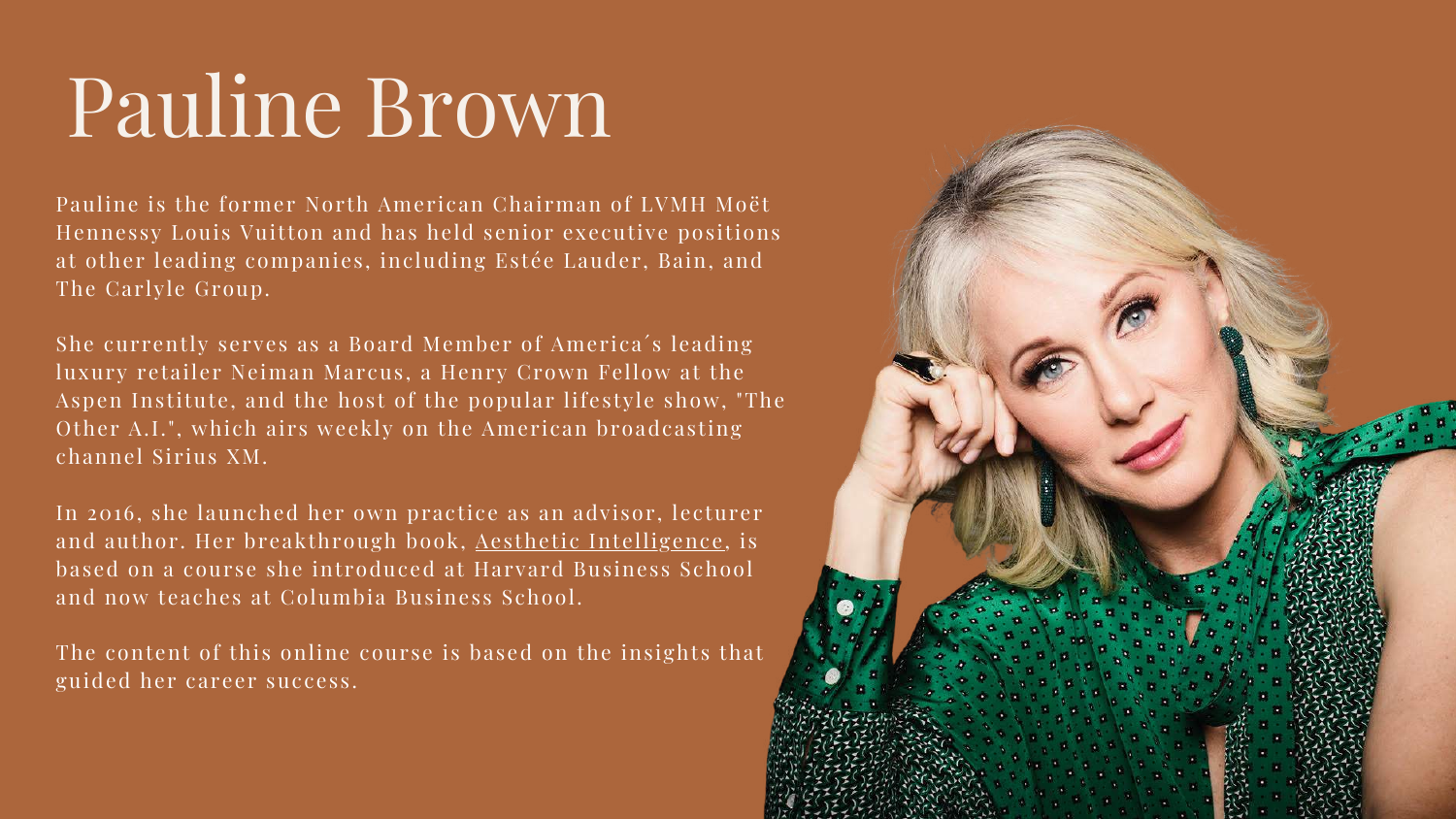# Pauline Brown

Pauline is the former North American Chairman of LVMH Moët Hennessy Louis Vuitton and has held senior executive positions at other leading companies, including Estée Lauder, Bain, and The Carlyle Group.

She currently serves as a Board Member of America´s leading luxury retailer Neiman Marcus, a Henry Crown Fellow at the Aspen Institute, and the host of the popular lifestyle show, "The Other A.I.", which airs weekly on the American broadcasting channel Sirius XM.

In 2016, she launched her own practice as an advisor, lecturer and author. Her breakthrough book, Aesthetic [Intelligence,](https://www.amazon.com/Aesthetic-Intelligence-Boost-Business-Beyond/dp/0062883305) is based on a course she introduced at Harvard Business School and now teaches at Columbia Business School.

The content of this online course is based on the insights that guided her career success.

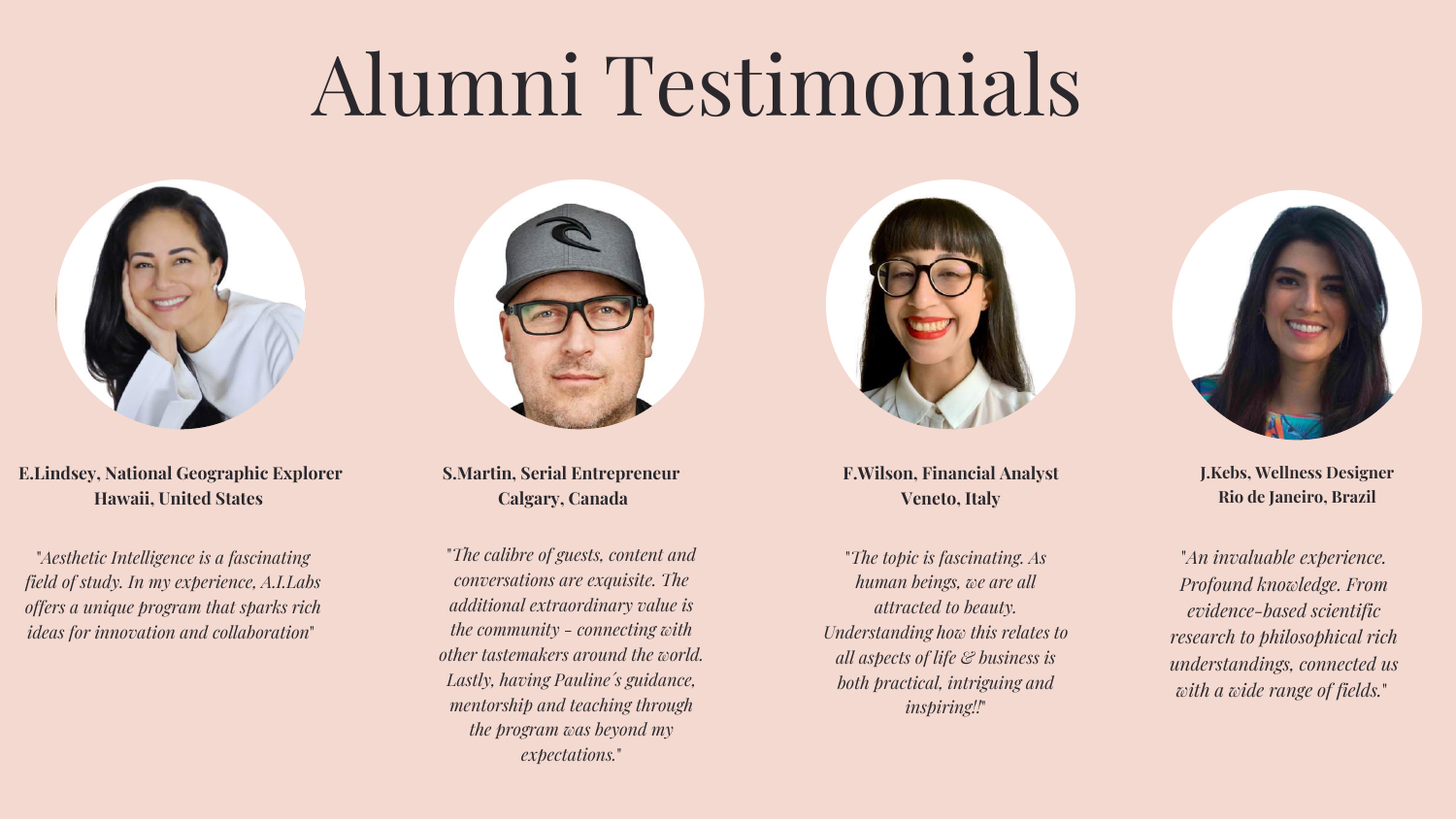# Alumni Testimonials



"*Aesthetic Intelligence is a fascinating field of study. In my experience, A.I.Labs offers a unique program that sparks rich ideas for innovation and collaboration*"



**E.Lindsey, National Geographic Explorer Hawaii, United States**

> "*The topic is fascinating. As human beings, we are all attracted to beauty. Understanding how this relates to all aspects of life & business is both practical, intriguing and inspiring!!*"

**F.Wilson, Financial Analyst Veneto, Italy**



"*The calibre of guests, content and conversations are exquisite. The additional extraordinary value is the community - connecting with other tastemakers around the world. Lastly, having Pauline´s guidance, mentorship and teaching through the program was beyond my expectations.*"



**S.Martin, Serial Entrepreneur Calgary, Canada**

> "*An invaluable experience. Profound knowledge. From evidence-based scientific research to philosophical rich understandings, connected us with a wide range of fields.*"

**J.Kebs, Wellness Designer Rio de Janeiro, Brazil**